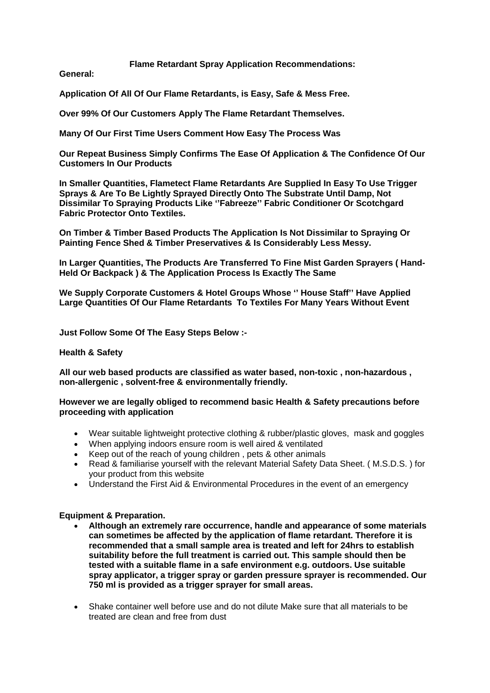**Flame Retardant Spray Application Recommendations:** 

**General:**

**Application Of All Of Our Flame Retardants, is Easy, Safe & Mess Free.**

**Over 99% Of Our Customers Apply The Flame Retardant Themselves.**

**Many Of Our First Time Users Comment How Easy The Process Was**

**Our Repeat Business Simply Confirms The Ease Of Application & The Confidence Of Our Customers In Our Products**

**In Smaller Quantities, Flametect Flame Retardants Are Supplied In Easy To Use Trigger Sprays & Are To Be Lightly Sprayed Directly Onto The Substrate Until Damp, Not Dissimilar To Spraying Products Like ''Fabreeze'' Fabric Conditioner Or Scotchgard Fabric Protector Onto Textiles.**

**On Timber & Timber Based Products The Application Is Not Dissimilar to Spraying Or Painting Fence Shed & Timber Preservatives & Is Considerably Less Messy.**

**In Larger Quantities, The Products Are Transferred To Fine Mist Garden Sprayers ( Hand-Held Or Backpack ) & The Application Process Is Exactly The Same**

**We Supply Corporate Customers & Hotel Groups Whose '' House Staff'' Have Applied Large Quantities Of Our Flame Retardants To Textiles For Many Years Without Event** 

**Just Follow Some Of The Easy Steps Below :-**

### **Health & Safety**

**All our web based products are classified as water based, non-toxic , non-hazardous , non-allergenic , solvent-free & environmentally friendly.**

**However we are legally obliged to recommend basic Health & Safety precautions before proceeding with application**

- Wear suitable lightweight protective clothing & rubber/plastic gloves, mask and goggles
- When applying indoors ensure room is well aired & ventilated
- Keep out of the reach of young children , pets & other animals
- Read & familiarise yourself with the relevant Material Safety Data Sheet. ( M.S.D.S. ) for your product from this website
- Understand the First Aid & Environmental Procedures in the event of an emergency

### **Equipment & Preparation.**

- **Although an extremely rare occurrence, handle and appearance of some materials can sometimes be affected by the application of flame retardant. Therefore it is recommended that a small sample area is treated and left for 24hrs to establish suitability before the full treatment is carried out. This sample should then be tested with a suitable flame in a safe environment e.g. outdoors. Use suitable spray applicator, a trigger spray or garden pressure sprayer is recommended. Our 750 ml is provided as a trigger sprayer for small areas.**
- Shake container well before use and do not dilute Make sure that all materials to be treated are clean and free from dust